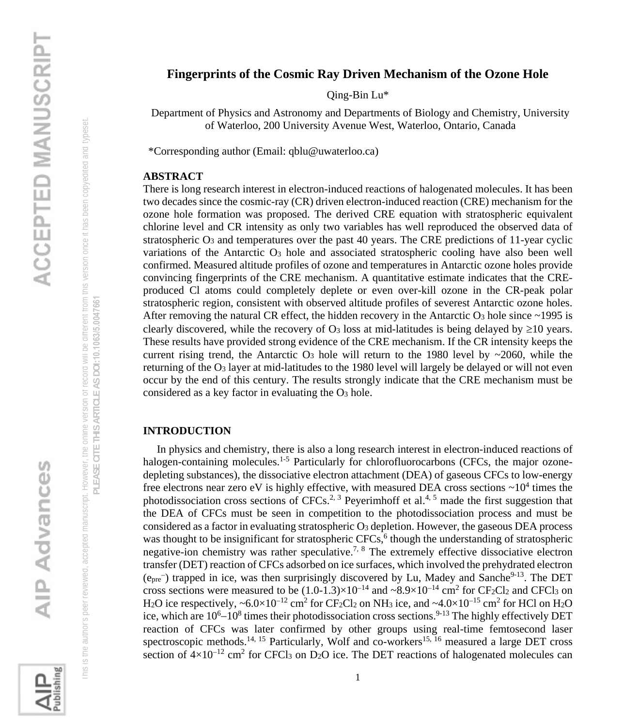# This is the author's peer reviewed, accepted manuscript. However, the online version of record will be different from this version once it has been copyedited and typeset. his is the author's peer reviewed, accepted manuscript. However, the online version or record will be different from this version once it has been copyedited and typeset

### PLEASE CITE THIS ARTICLE AS DOI:10.1063/5.0047661 **PLEASE CITE THIS ARTICLE AS DOI:**10.1063/5.0047661

ublishing

### **Fingerprints of the Cosmic Ray Driven Mechanism of the Ozone Hole**

Qing-Bin Lu\*

Department of Physics and Astronomy and Departments of Biology and Chemistry, University of Waterloo, 200 University Avenue West, Waterloo, Ontario, Canada

\*Corresponding author (Email: qblu@uwaterloo.ca)

### **ABSTRACT**

There is long research interest in electron-induced reactions of halogenated molecules. It has been two decades since the cosmic-ray (CR) driven electron-induced reaction (CRE) mechanism for the ozone hole formation was proposed. The derived CRE equation with stratospheric equivalent chlorine level and CR intensity as only two variables has well reproduced the observed data of stratospheric  $O_3$  and temperatures over the past 40 years. The CRE predictions of 11-year cyclic variations of the Antarctic O<sub>3</sub> hole and associated stratospheric cooling have also been well confirmed. Measured altitude profiles of ozone and temperatures in Antarctic ozone holes provide convincing fingerprints of the CRE mechanism. A quantitative estimate indicates that the CREproduced Cl atoms could completely deplete or even over-kill ozone in the CR-peak polar stratospheric region, consistent with observed altitude profiles of severest Antarctic ozone holes. After removing the natural CR effect, the hidden recovery in the Antarctic  $O_3$  hole since  $\sim$ 1995 is clearly discovered, while the recovery of  $O_3$  loss at mid-latitudes is being delayed by  $\geq 10$  years. These results have provided strong evidence of the CRE mechanism. If the CR intensity keeps the current rising trend, the Antarctic  $O_3$  hole will return to the 1980 level by ~2060, while the returning of the O<sup>3</sup> layer at mid-latitudes to the 1980 level will largely be delayed or will not even occur by the end of this century. The results strongly indicate that the CRE mechanism must be considered as a key factor in evaluating the O<sup>3</sup> hole.

### **INTRODUCTION**

 In physics and chemistry, there is also a long research interest in electron-induced reactions of halogen-containing molecules.<sup>1-5</sup> Particularly for chlorofluorocarbons (CFCs, the major ozonedepleting substances), the dissociative electron attachment (DEA) of gaseous CFCs to low-energy free electrons near zero eV is highly effective, with measured DEA cross sections  $\sim 10^4$  times the photodissociation cross sections of CFCs.<sup>2, 3</sup> Peyerimhoff et al.<sup>4, 5</sup> made the first suggestion that the DEA of CFCs must be seen in competition to the photodissociation process and must be considered as a factor in evaluating stratospheric  $O_3$  depletion. However, the gaseous DEA process was thought to be insignificant for stratospheric CFCs,<sup>6</sup> though the understanding of stratospheric negative-ion chemistry was rather speculative.<sup>7, 8</sup> The extremely effective dissociative electron transfer (DET) reaction of CFCs adsorbed on ice surfaces, which involved the prehydrated electron  $(e_{pre})$  trapped in ice, was then surprisingly discovered by Lu, Madey and Sanche<sup>9-13</sup>. The DET cross sections were measured to be  $(1.0\n-1.3)\times10^{-14}$  and  $\sim8.9\times10^{-14}$  cm<sup>2</sup> for CF<sub>2</sub>Cl<sub>2</sub> and CFCl<sub>3</sub> on H<sub>2</sub>O ice respectively, ~6.0×10<sup>-12</sup> cm<sup>2</sup> for CF<sub>2</sub>Cl<sub>2</sub> on NH<sub>3</sub> ice, and ~4.0×10<sup>-15</sup> cm<sup>2</sup> for HCl on H<sub>2</sub>O ice, which are 10<sup>6</sup>–10<sup>8</sup> times their photodissociation cross sections.<sup>9-13</sup> The highly effectively DET reaction of CFCs was later confirmed by other groups using real-time femtosecond laser spectroscopic methods.<sup>14, 15</sup> Particularly, Wolf and co-workers<sup>15, 16</sup> measured a large DET cross section of  $4\times10^{-12}$  cm<sup>2</sup> for CFCl<sub>3</sub> on D<sub>2</sub>O ice. The DET reactions of halogenated molecules can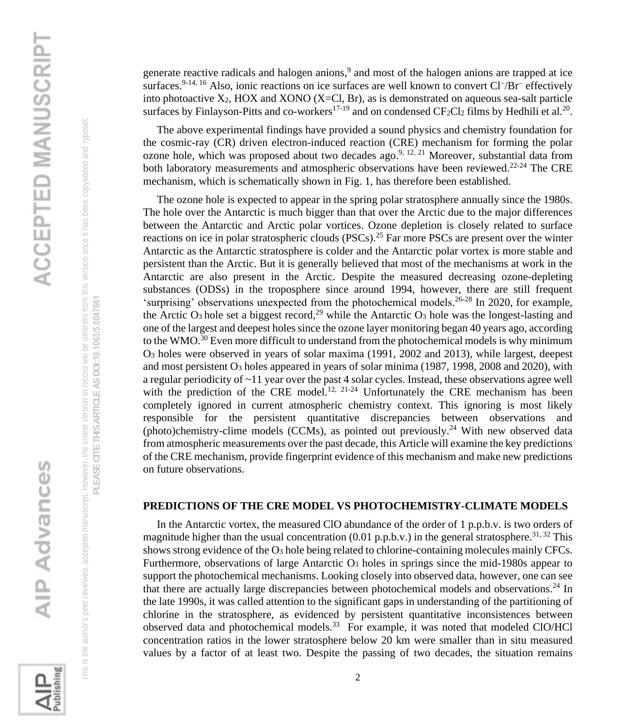

PLEASE CITE THIS ARTICLE AS DOI:10.1063/5.0047661 **PLEASE CITE THIS ARTICLE AS DOI:**10.1063/5.0047661

Publishing

generate reactive radicals and halogen anions,<sup>9</sup> and most of the halogen anions are trapped at ice surfaces.<sup>9-14, 16</sup> Also, ionic reactions on ice surfaces are well known to convert Cl<sup>−</sup>/Br<sup>−</sup> effectively into photoactive  $X_2$ , HOX and XONO (X=Cl, Br), as is demonstrated on aqueous sea-salt particle surfaces by Finlayson-Pitts and co-workers<sup>17-19</sup> and on condensed  $CF_2Cl_2$  films by Hedhili et al.<sup>20</sup>.

 The above experimental findings have provided a sound physics and chemistry foundation for the cosmic-ray (CR) driven electron-induced reaction (CRE) mechanism for forming the polar ozone hole, which was proposed about two decades ago.<sup>9, 12, 21</sup> Moreover, substantial data from both laboratory measurements and atmospheric observations have been reviewed.<sup>22-24</sup> The CRE mechanism, which is schematically shown in Fig. 1, has therefore been established.

 The ozone hole is expected to appear in the spring polar stratosphere annually since the 1980s. The hole over the Antarctic is much bigger than that over the Arctic due to the major differences between the Antarctic and Arctic polar vortices. Ozone depletion is closely related to surface reactions on ice in polar stratospheric clouds (PSCs).<sup>25</sup> Far more PSCs are present over the winter Antarctic as the Antarctic stratosphere is colder and the Antarctic polar vortex is more stable and persistent than the Arctic. But it is generally believed that most of the mechanisms at work in the Antarctic are also present in the Arctic. Despite the measured decreasing ozone-depleting substances (ODSs) in the troposphere since around 1994, however, there are still frequent 'surprising' observations unexpected from the photochemical models. 26-28 In 2020, for example, the Arctic  $O_3$  hole set a biggest record,<sup>29</sup> while the Antarctic  $O_3$  hole was the longest-lasting and one of the largest and deepest holes since the ozone layer monitoring began 40 years ago, according to the WMO.<sup>30</sup> Even more difficult to understand from the photochemical models is why minimum O<sup>3</sup> holes were observed in years of solar maxima (1991, 2002 and 2013), while largest, deepest and most persistent O<sup>3</sup> holes appeared in years of solar minima (1987, 1998, 2008 and 2020), with a regular periodicity of  $\sim$ 11 year over the past 4 solar cycles. Instead, these observations agree well with the prediction of the CRE model.<sup>12, 21-24</sup> Unfortunately the CRE mechanism has been completely ignored in current atmospheric chemistry context. This ignoring is most likely responsible for the persistent quantitative discrepancies between observations and (photo)chemistry-clime models (CCMs), as pointed out previously.<sup>24</sup> With new observed data from atmospheric measurements over the past decade, this Article will examine the key predictions of the CRE mechanism, provide fingerprint evidence of this mechanism and make new predictions on future observations.

### **PREDICTIONS OF THE CRE MODEL VS PHOTOCHEMISTRY-CLIMATE MODELS**

 In the Antarctic vortex, the measured ClO abundance of the order of 1 p.p.b.v. is two orders of magnitude higher than the usual concentration  $(0.01 \text{ p.p.b.v.})$  in the general stratosphere.<sup>31, 32</sup> This shows strong evidence of the O<sup>3</sup> hole being related to chlorine-containing molecules mainly CFCs. Furthermore, observations of large Antarctic O<sub>3</sub> holes in springs since the mid-1980s appear to support the photochemical mechanisms. Looking closely into observed data, however, one can see that there are actually large discrepancies between photochemical models and observations.<sup>24</sup> In the late 1990s, it was called attention to the significant gaps in understanding of the partitioning of chlorine in the stratosphere, as evidenced by persistent quantitative inconsistences between observed data and photochemical models. 33 For example, it was noted that modeled ClO/HCl concentration ratios in the lower stratosphere below 20 km were smaller than in situ measured values by a factor of at least two. Despite the passing of two decades, the situation remains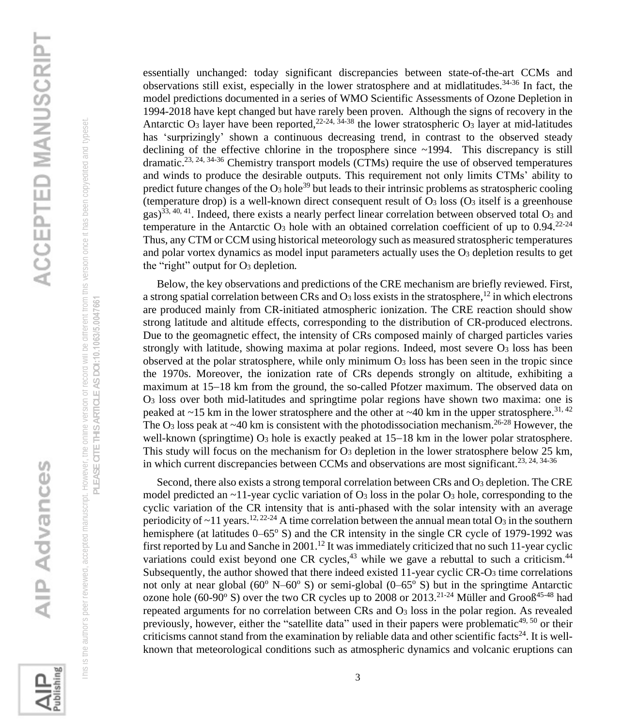

PLEASE CITE THIS ARTICLE AS DOI:10.1063/5.0047661 **PLEASE CITE THIS ARTICLE AS DOI:**10.1063/5.0047661

Publishing

essentially unchanged: today significant discrepancies between state-of-the-art CCMs and observations still exist, especially in the lower stratosphere and at midlatitudes. 34-36 In fact, the model predictions documented in a series of WMO Scientific Assessments of Ozone Depletion in 1994-2018 have kept changed but have rarely been proven. Although the signs of recovery in the Antarctic O<sub>3</sub> layer have been reported,  $2^{2-24}$ ,  $3^{4-38}$  the lower stratospheric O<sub>3</sub> layer at mid-latitudes has 'surprizingly' shown a continuous decreasing trend, in contrast to the observed steady declining of the effective chlorine in the troposphere since ~1994. This discrepancy is still dramatic.<sup>23, 24, 34-36</sup> Chemistry transport models (CTMs) require the use of observed temperatures and winds to produce the desirable outputs. This requirement not only limits CTMs' ability to predict future changes of the  $O_3$  hole<sup>39</sup> but leads to their intrinsic problems as stratospheric cooling (temperature drop) is a well-known direct consequent result of  $O_3$  loss  $(O_3$  itself is a greenhouse gas)<sup>33, 40, 41</sup>. Indeed, there exists a nearly perfect linear correlation between observed total  $O_3$  and temperature in the Antarctic O<sub>3</sub> hole with an obtained correlation coefficient of up to  $0.94.^{22-24}$ Thus, any CTM or CCM using historical meteorology such as measured stratospheric temperatures and polar vortex dynamics as model input parameters actually uses the O<sub>3</sub> depletion results to get the "right" output for O<sup>3</sup> depletion*.*

 Below, the key observations and predictions of the CRE mechanism are briefly reviewed. First, a strong spatial correlation between CRs and  $O_3$  loss exists in the stratosphere,  $^{12}$  in which electrons are produced mainly from CR-initiated atmospheric ionization. The CRE reaction should show strong latitude and altitude effects, corresponding to the distribution of CR-produced electrons. Due to the geomagnetic effect, the intensity of CRs composed mainly of charged particles varies strongly with latitude, showing maxima at polar regions. Indeed, most severe O3 loss has been observed at the polar stratosphere, while only minimum  $O<sub>3</sub>$  loss has been seen in the tropic since the 1970s. Moreover, the ionization rate of CRs depends strongly on altitude, exhibiting a maximum at 15−18 km from the ground, the so-called Pfotzer maximum. The observed data on O<sup>3</sup> loss over both mid-latitudes and springtime polar regions have shown two maxima: one is peaked at  $\sim$ 15 km in the lower stratosphere and the other at  $\sim$ 40 km in the upper stratosphere.<sup>31, 42</sup> The O<sub>3</sub> loss peak at  $\sim$ 40 km is consistent with the photodissociation mechanism.<sup>26-28</sup> However, the well-known (springtime)  $O_3$  hole is exactly peaked at 15−18 km in the lower polar stratosphere. This study will focus on the mechanism for  $O_3$  depletion in the lower stratosphere below 25 km, in which current discrepancies between CCMs and observations are most significant.<sup>23, 24, 34-36</sup>

Second, there also exists a strong temporal correlation between CRs and O<sub>3</sub> depletion. The CRE model predicted an  $\sim$ 11-year cyclic variation of O<sub>3</sub> loss in the polar O<sub>3</sub> hole, corresponding to the cyclic variation of the CR intensity that is anti-phased with the solar intensity with an average periodicity of  $\sim$ 11 years.<sup>12, 22-24</sup> A time correlation between the annual mean total O<sub>3</sub> in the southern hemisphere (at latitudes  $0-65^{\circ}$  S) and the CR intensity in the single CR cycle of 1979-1992 was first reported by Lu and Sanche in 2001.<sup>12</sup> It was immediately criticized that no such 11-year cyclic variations could exist beyond one CR cycles,<sup>43</sup> while we gave a rebuttal to such a criticism.<sup>44</sup> Subsequently, the author showed that there indeed existed 11-year cyclic CR-O<sup>3</sup> time correlations not only at near global ( $60^{\circ}$  N– $60^{\circ}$  S) or semi-global ( $0-65^{\circ}$  S) but in the springtime Antarctic ozone hole (60-90 $\degree$  S) over the two CR cycles up to 2008 or 2013.<sup>21-24</sup> Müller and Grooß<sup>45-48</sup> had repeated arguments for no correlation between CRs and O<sup>3</sup> loss in the polar region. As revealed previously, however, either the "satellite data" used in their papers were problematic $49,50$  or their criticisms cannot stand from the examination by reliable data and other scientific facts<sup>24</sup>. It is wellknown that meteorological conditions such as atmospheric dynamics and volcanic eruptions can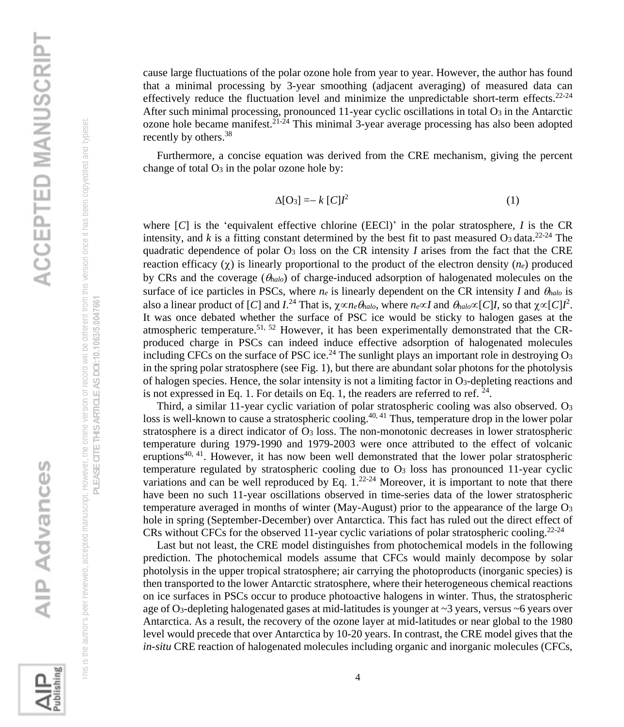**Publishing** 

 This is the author's peer reviewed, accepted manuscript. However, the online version of record will be different from this version once it has been copyedited and typeset. **PLEASE CITE THIS ARTICLE AS DOI:**10.1063/5.0047661

his is the author's peer reviewed, accepted manuscript. However, the online version or record will be different from this version once it has been copyedited and typeset PLEASE CITE THIS ARTICLE AS DOI:10.1063/5.0047661

cause large fluctuations of the polar ozone hole from year to year. However, the author has found that a minimal processing by 3-year smoothing (adjacent averaging) of measured data can effectively reduce the fluctuation level and minimize the unpredictable short-term effects.<sup>22-24</sup> After such minimal processing, pronounced 11-year cyclic oscillations in total O<sub>3</sub> in the Antarctic ozone hole became manifest.<sup>21-24</sup> This minimal 3-year average processing has also been adopted recently by others.<sup>38</sup>

 Furthermore, a concise equation was derived from the CRE mechanism, giving the percent change of total  $O_3$  in the polar ozone hole by:

$$
\Delta[\mathcal{O}_3] = -k [\mathcal{C}] l^2 \tag{1}
$$

where [*C*] is the 'equivalent effective chlorine (EECl)' in the polar stratosphere, *I* is the CR intensity, and  $k$  is a fitting constant determined by the best fit to past measured  $O_3$  data.<sup>22-24</sup> The quadratic dependence of polar O<sup>3</sup> loss on the CR intensity *I* arises from the fact that the CRE reaction efficacy  $(\chi)$  is linearly proportional to the product of the electron density  $(n_e)$  produced by CRs and the coverage (*halo*) of charge-induced adsorption of halogenated molecules on the surface of ice particles in PSCs, where  $n_e$  is linearly dependent on the CR intensity *I* and  $\theta_{halo}$  is also a linear product of [*C*] and *I*.<sup>24</sup> That is,  $\chi \propto n_e \theta_{halo}$ , where  $n_e \propto I$  and  $\theta_{halo} \propto [C]I$ , so that  $\chi \propto [C]I^2$ . It was once debated whether the surface of PSC ice would be sticky to halogen gases at the atmospheric temperature.<sup>51, 52</sup> However, it has been experimentally demonstrated that the CRproduced charge in PSCs can indeed induce effective adsorption of halogenated molecules including CFCs on the surface of PSC ice.<sup>24</sup> The sunlight plays an important role in destroying O<sub>3</sub> in the spring polar stratosphere (see Fig. 1), but there are abundant solar photons for the photolysis of halogen species. Hence, the solar intensity is not a limiting factor in O3-depleting reactions and is not expressed in Eq. 1. For details on Eq. 1, the readers are referred to ref.  $24$ .

Third, a similar 11-year cyclic variation of polar stratospheric cooling was also observed. O<sub>3</sub> loss is well-known to cause a stratospheric cooling.<sup>40, 41</sup> Thus, temperature drop in the lower polar stratosphere is a direct indicator of  $\mathcal{O}_3$  loss. The non-monotonic decreases in lower stratospheric temperature during 1979-1990 and 1979-2003 were once attributed to the effect of volcanic eruptions<sup>40, 41</sup>. However, it has now been well demonstrated that the lower polar stratospheric temperature regulated by stratospheric cooling due to  $O<sub>3</sub>$  loss has pronounced 11-year cyclic variations and can be well reproduced by Eq.  $1.^{22-24}$  Moreover, it is important to note that there have been no such 11-year oscillations observed in time-series data of the lower stratospheric temperature averaged in months of winter (May-August) prior to the appearance of the large O<sup>3</sup> hole in spring (September-December) over Antarctica. This fact has ruled out the direct effect of CRs without CFCs for the observed 11-year cyclic variations of polar stratospheric cooling.<sup>22-24</sup>

 Last but not least, the CRE model distinguishes from photochemical models in the following prediction. The photochemical models assume that CFCs would mainly decompose by solar photolysis in the upper tropical stratosphere; air carrying the photoproducts (inorganic species) is then transported to the lower Antarctic stratosphere, where their heterogeneous chemical reactions on ice surfaces in PSCs occur to produce photoactive halogens in winter. Thus, the stratospheric age of O<sub>3</sub>-depleting halogenated gases at mid-latitudes is younger at  $\sim$ 3 years, versus  $\sim$ 6 years over Antarctica. As a result, the recovery of the ozone layer at mid-latitudes or near global to the 1980 level would precede that over Antarctica by 10-20 years. In contrast, the CRE model gives that the *in-situ* CRE reaction of halogenated molecules including organic and inorganic molecules (CFCs,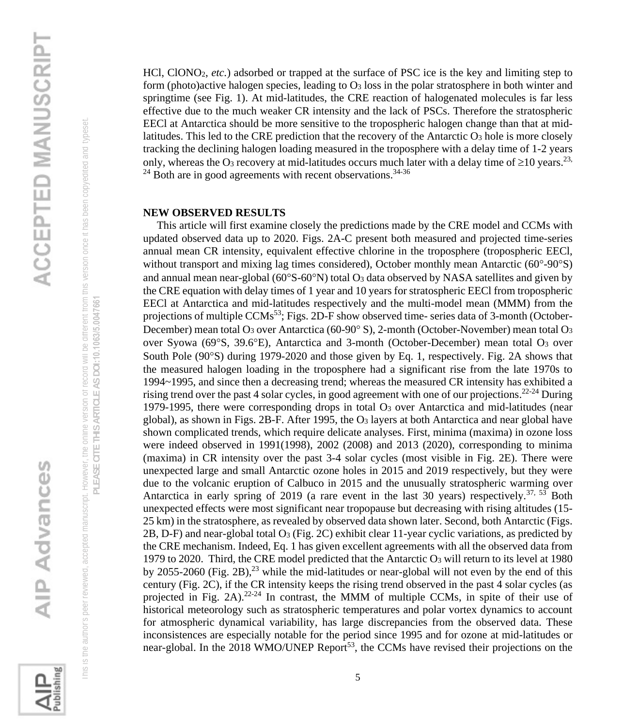

PLEASE CITE THIS ARTICLE AS DOI:10.1063/5.0047661 **PLEASE CITE THIS ARTICLE AS DOI:**10.1063/5.0047661



HCl, ClONO2, *etc.*) adsorbed or trapped at the surface of PSC ice is the key and limiting step to form (photo)active halogen species, leading to O<sup>3</sup> loss in the polar stratosphere in both winter and springtime (see Fig. 1). At mid-latitudes, the CRE reaction of halogenated molecules is far less effective due to the much weaker CR intensity and the lack of PSCs. Therefore the stratospheric EECl at Antarctica should be more sensitive to the tropospheric halogen change than that at midlatitudes. This led to the CRE prediction that the recovery of the Antarctic O<sup>3</sup> hole is more closely tracking the declining halogen loading measured in the troposphere with a delay time of 1-2 years only, whereas the O<sub>3</sub> recovery at mid-latitudes occurs much later with a delay time of  $\geq$ 10 years.<sup>23,</sup>  $24$  Both are in good agreements with recent observations.  $34-36$ 

### **NEW OBSERVED RESULTS**

 This article will first examine closely the predictions made by the CRE model and CCMs with updated observed data up to 2020. Figs. 2A-C present both measured and projected time-series annual mean CR intensity, equivalent effective chlorine in the troposphere (tropospheric EECl, without transport and mixing lag times considered), October monthly mean Antarctic  $(60^{\circ}$ -90 $^{\circ}$ S) and annual mean near-global  $(60^{\circ}S-60^{\circ}N)$  total  $O_3$  data observed by NASA satellites and given by the CRE equation with delay times of 1 year and 10 years for stratospheric EECl from tropospheric EECl at Antarctica and mid-latitudes respectively and the multi-model mean (MMM) from the projections of multiple CCMs<sup>53</sup>; Figs. 2D-F show observed time- series data of 3-month (October-December) mean total O<sub>3</sub> over Antarctica (60-90° S), 2-month (October-November) mean total O<sub>3</sub> over Syowa (69°S, 39.6°E), Antarctica and 3-month (October-December) mean total O<sub>3</sub> over South Pole (90°S) during 1979-2020 and those given by Eq. 1, respectively. Fig. 2A shows that the measured halogen loading in the troposphere had a significant rise from the late 1970s to 1994~1995, and since then a decreasing trend; whereas the measured CR intensity has exhibited a rising trend over the past 4 solar cycles, in good agreement with one of our projections.<sup>22-24</sup> During 1979-1995, there were corresponding drops in total  $O<sub>3</sub>$  over Antarctica and mid-latitudes (near global), as shown in Figs. 2B-F. After 1995, the O<sup>3</sup> layers at both Antarctica and near global have shown complicated trends, which require delicate analyses. First, minima (maxima) in ozone loss were indeed observed in 1991(1998), 2002 (2008) and 2013 (2020), corresponding to minima (maxima) in CR intensity over the past 3-4 solar cycles (most visible in Fig. 2E). There were unexpected large and small Antarctic ozone holes in 2015 and 2019 respectively, but they were due to the volcanic eruption of Calbuco in 2015 and the unusually stratospheric warming over Antarctica in early spring of 2019 (a rare event in the last 30 years) respectively.<sup>37, 53</sup> Both unexpected effects were most significant near tropopause but decreasing with rising altitudes (15- 25 km) in the stratosphere, as revealed by observed data shown later. Second, both Antarctic (Figs. 2B, D-F) and near-global total  $O_3$  (Fig. 2C) exhibit clear 11-year cyclic variations, as predicted by the CRE mechanism. Indeed, Eq. 1 has given excellent agreements with all the observed data from 1979 to 2020. Third, the CRE model predicted that the Antarctic O<sup>3</sup> will return to its level at 1980 by 2055-2060 (Fig. 2B), $^{23}$  while the mid-latitudes or near-global will not even by the end of this century (Fig. 2C), if the CR intensity keeps the rising trend observed in the past 4 solar cycles (as projected in Fig. 2A). $22-24$  In contrast, the MMM of multiple CCMs, in spite of their use of historical meteorology such as stratospheric temperatures and polar vortex dynamics to account for atmospheric dynamical variability, has large discrepancies from the observed data. These inconsistences are especially notable for the period since 1995 and for ozone at mid-latitudes or near-global. In the 2018 WMO/UNEP Report<sup>53</sup>, the CCMs have revised their projections on the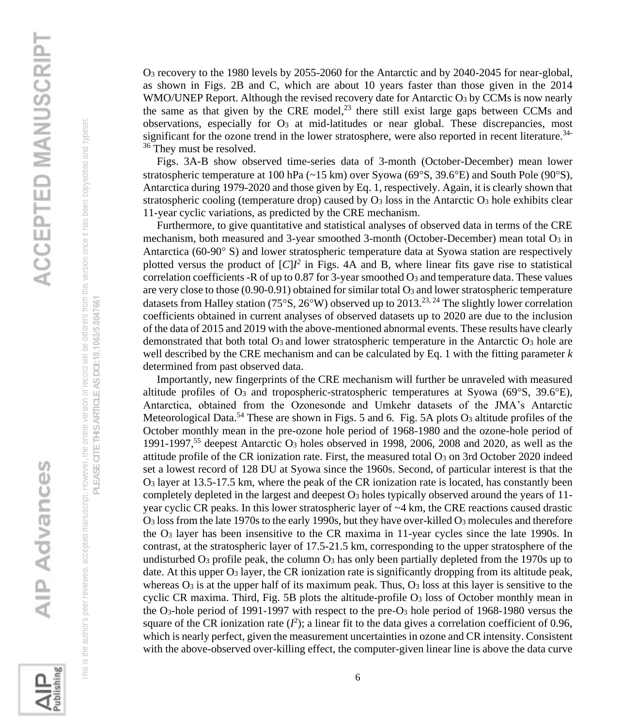

PLEASE CITE THIS ARTICLE AS DOI:10.1063/5.0047661 **PLEASE CITE THIS ARTICLE AS DOI:**10.1063/5.0047661 O<sup>3</sup> recovery to the 1980 levels by 2055-2060 for the Antarctic and by 2040-2045 for near-global, as shown in Figs. 2B and C, which are about 10 years faster than those given in the 2014 WMO/UNEP Report. Although the revised recovery date for Antarctic O<sub>3</sub> by CCMs is now nearly the same as that given by the CRE model, $^{23}$  there still exist large gaps between CCMs and observations, especially for O<sub>3</sub> at mid-latitudes or near global. These discrepancies, most significant for the ozone trend in the lower stratosphere, were also reported in recent literature.<sup>34-</sup> <sup>36</sup> They must be resolved.

 Figs. 3A-B show observed time-series data of 3-month (October-December) mean lower stratospheric temperature at 100 hPa  $(\sim 15 \text{ km})$  over Syowa (69°S, 39.6°E) and South Pole (90°S), Antarctica during 1979-2020 and those given by Eq. 1, respectively. Again, it is clearly shown that stratospheric cooling (temperature drop) caused by  $O_3$  loss in the Antarctic  $O_3$  hole exhibits clear 11-year cyclic variations, as predicted by the CRE mechanism.

 Furthermore, to give quantitative and statistical analyses of observed data in terms of the CRE mechanism, both measured and 3-year smoothed 3-month (October-December) mean total O3 in Antarctica (60-90<sup>o</sup> S) and lower stratospheric temperature data at Syowa station are respectively plotted versus the product of  $[C]$ *I*<sup>2</sup> in Figs. 4A and B, where linear fits gave rise to statistical correlation coefficients -R of up to 0.87 for 3-year smoothed O<sup>3</sup> and temperature data. These values are very close to those  $(0.90-0.91)$  obtained for similar total  $O_3$  and lower stratospheric temperature datasets from Halley station (75°S, 26°W) observed up to 2013.<sup>23, 24</sup> The slightly lower correlation coefficients obtained in current analyses of observed datasets up to 2020 are due to the inclusion of the data of 2015 and 2019 with the above-mentioned abnormal events. These results have clearly demonstrated that both total  $\mathbf{O}_3$  and lower stratospheric temperature in the Antarctic  $\mathbf{O}_3$  hole are well described by the CRE mechanism and can be calculated by Eq. 1 with the fitting parameter *k* determined from past observed data.

 Importantly, new fingerprints of the CRE mechanism will further be unraveled with measured altitude profiles of  $O_3$  and tropospheric-stratospheric temperatures at Syowa (69 $\degree$ S, 39.6 $\degree$ E), Antarctica, obtained from the Ozonesonde and Umkehr datasets of the JMA's Antarctic Meteorological Data.<sup>54</sup> These are shown in Figs. 5 and 6. Fig. 5A plots  $O_3$  altitude profiles of the October monthly mean in the pre-ozone hole period of 1968-1980 and the ozone-hole period of 1991-1997, <sup>55</sup> deepest Antarctic O<sup>3</sup> holes observed in 1998, 2006, 2008 and 2020, as well as the attitude profile of the CR ionization rate. First, the measured total  $O_3$  on 3rd October 2020 indeed set a lowest record of 128 DU at Syowa since the 1960s. Second, of particular interest is that the O<sup>3</sup> layer at 13.5-17.5 km, where the peak of the CR ionization rate is located, has constantly been completely depleted in the largest and deepest  $O_3$  holes typically observed around the years of 11year cyclic CR peaks. In this lower stratospheric layer of ~4 km, the CRE reactions caused drastic O<sup>3</sup> loss from the late 1970s to the early 1990s, but they have over-killed O<sup>3</sup> molecules and therefore the  $O_3$  layer has been insensitive to the CR maxima in 11-year cycles since the late 1990s. In contrast, at the stratospheric layer of 17.5-21.5 km, corresponding to the upper stratosphere of the undisturbed  $O_3$  profile peak, the column  $O_3$  has only been partially depleted from the 1970s up to date. At this upper  $O_3$  layer, the CR ionization rate is significantly dropping from its altitude peak, whereas  $O_3$  is at the upper half of its maximum peak. Thus,  $O_3$  loss at this layer is sensitive to the cyclic CR maxima. Third, Fig. 5B plots the altitude-profile O<sup>3</sup> loss of October monthly mean in the O<sub>3</sub>-hole period of 1991-1997 with respect to the pre-O<sub>3</sub> hole period of 1968-1980 versus the square of the CR ionization rate  $(I^2)$ ; a linear fit to the data gives a correlation coefficient of 0.96, which is nearly perfect, given the measurement uncertainties in ozone and CR intensity. Consistent with the above-observed over-killing effect, the computer-given linear line is above the data curve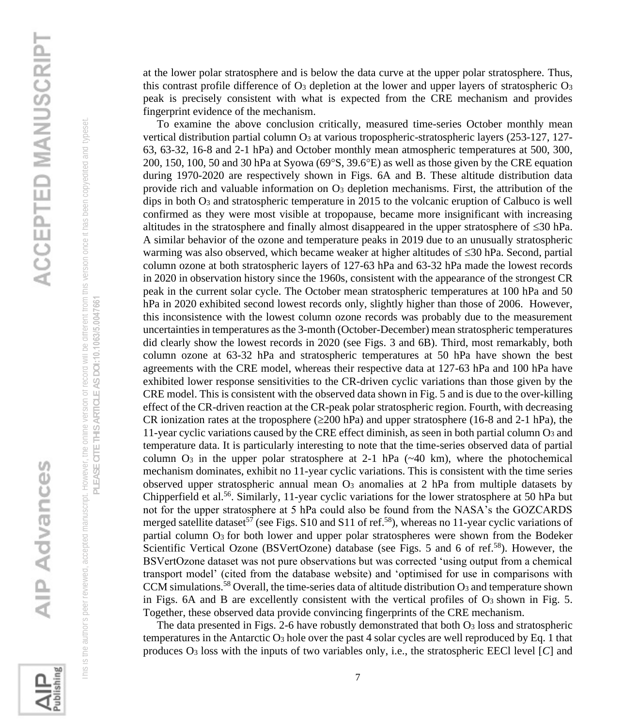This is the author's peer reviewed, accepted manuscript. However, the online version of record will be different from this version once it has been copyedited and typeset. his is the author's peer reviewed, accepted manuscript. However, the online version or record will be different from this version once it has been copyedited and typeset

PLEASE CITE THIS ARTICLE AS DOI:10.1063/5.0047661 **PLEASE CITE THIS ARTICLE AS DOI:**10.1063/5.0047661

**ALL**<br>Publishing

at the lower polar stratosphere and is below the data curve at the upper polar stratosphere. Thus, this contrast profile difference of  $O_3$  depletion at the lower and upper layers of stratospheric  $O_3$ peak is precisely consistent with what is expected from the CRE mechanism and provides fingerprint evidence of the mechanism.

 To examine the above conclusion critically, measured time-series October monthly mean vertical distribution partial column O<sub>3</sub> at various tropospheric-stratospheric layers (253-127, 127-63, 63-32, 16-8 and 2-1 hPa) and October monthly mean atmospheric temperatures at 500, 300, 200, 150, 100, 50 and 30 hPa at Syowa ( $69^{\circ}$ S,  $39.6^{\circ}$ E) as well as those given by the CRE equation during 1970-2020 are respectively shown in Figs. 6A and B. These altitude distribution data provide rich and valuable information on  $O<sub>3</sub>$  depletion mechanisms. First, the attribution of the dips in both  $O_3$  and stratospheric temperature in 2015 to the volcanic eruption of Calbuco is well confirmed as they were most visible at tropopause, became more insignificant with increasing altitudes in the stratosphere and finally almost disappeared in the upper stratosphere of  $\leq 30$  hPa. A similar behavior of the ozone and temperature peaks in 2019 due to an unusually stratospheric warming was also observed, which became weaker at higher altitudes of  $\leq 30$  hPa. Second, partial column ozone at both stratospheric layers of 127-63 hPa and 63-32 hPa made the lowest records in 2020 in observation history since the 1960s, consistent with the appearance of the strongest CR peak in the current solar cycle. The October mean stratospheric temperatures at 100 hPa and 50 hPa in 2020 exhibited second lowest records only, slightly higher than those of 2006. However, this inconsistence with the lowest column ozone records was probably due to the measurement uncertainties in temperatures as the 3-month (October-December) mean stratospheric temperatures did clearly show the lowest records in 2020 (see Figs. 3 and 6B). Third, most remarkably, both column ozone at 63-32 hPa and stratospheric temperatures at 50 hPa have shown the best agreements with the CRE model, whereas their respective data at 127-63 hPa and 100 hPa have exhibited lower response sensitivities to the CR-driven cyclic variations than those given by the CRE model. This is consistent with the observed data shown in Fig. 5 and is due to the over-killing effect of the CR-driven reaction at the CR-peak polar stratospheric region. Fourth, with decreasing CR ionization rates at the troposphere ( $\geq 200$  hPa) and upper stratosphere (16-8 and 2-1 hPa), the 11-year cyclic variations caused by the CRE effect diminish, as seen in both partial column  $O_3$  and temperature data. It is particularly interesting to note that the time-series observed data of partial column  $O_3$  in the upper polar stratosphere at 2-1 hPa ( $\sim$ 40 km), where the photochemical mechanism dominates, exhibit no 11-year cyclic variations. This is consistent with the time series observed upper stratospheric annual mean O<sup>3</sup> anomalies at 2 hPa from multiple datasets by Chipperfield et al.<sup>56</sup>. Similarly, 11-year cyclic variations for the lower stratosphere at 50 hPa but not for the upper stratosphere at 5 hPa could also be found from the NASA's the GOZCARDS merged satellite dataset<sup>57</sup> (see Figs. S10 and S11 of ref.<sup>58</sup>), whereas no 11-year cyclic variations of partial column O3 for both lower and upper polar stratospheres were shown from the Bodeker Scientific Vertical Ozone (BSVertOzone) database (see Figs. 5 and 6 of ref.<sup>58</sup>). However, the BSVertOzone dataset was not pure observations but was corrected 'using output from a chemical transport model' (cited from the database website) and 'optimised for use in comparisons with CCM simulations.<sup>58</sup> Overall, the time-series data of altitude distribution  $O_3$  and temperature shown in Figs. 6A and B are excellently consistent with the vertical profiles of  $O_3$  shown in Fig. 5. Together, these observed data provide convincing fingerprints of the CRE mechanism.

The data presented in Figs. 2-6 have robustly demonstrated that both  $O_3$  loss and stratospheric temperatures in the Antarctic  $O_3$  hole over the past 4 solar cycles are well reproduced by Eq. 1 that produces O<sup>3</sup> loss with the inputs of two variables only, i.e., the stratospheric EECl level [*C*] and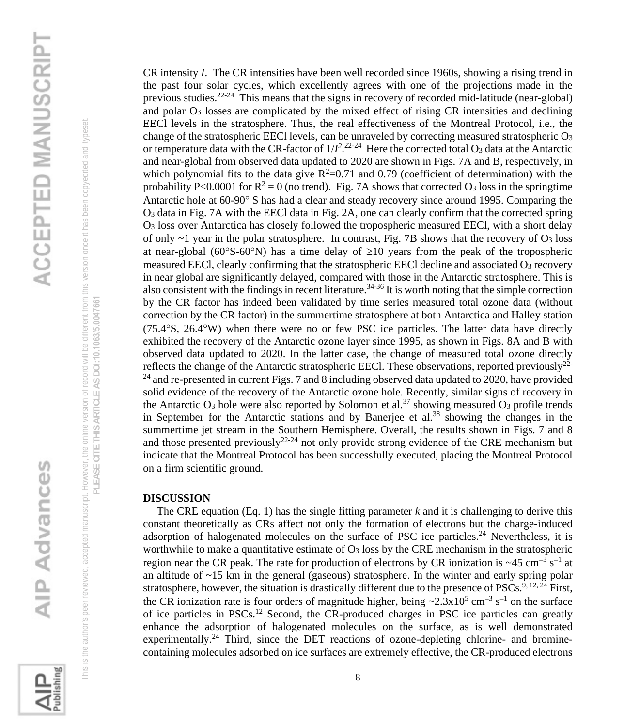This is the author's peer reviewed, accepted manuscript. However, the online version of record will be different from this version once it has been copyedited and typeset. his is the author's peer reviewed, accepted manuscript. However, the online version or record will be different from this version once it has been copyedited and typeset

PLEASE CITE THIS ARTICLE AS DOI:10.1063/5.0047661 **PLEASE CITE THIS ARTICLE AS DOI:**10.1063/5.0047661

**Publishing** 

CR intensity *I*. The CR intensities have been well recorded since 1960s, showing a rising trend in the past four solar cycles, which excellently agrees with one of the projections made in the previous studies.<sup>22-24</sup> This means that the signs in recovery of recorded mid-latitude (near-global) and polar  $O_3$  losses are complicated by the mixed effect of rising CR intensities and declining EECl levels in the stratosphere. Thus, the real effectiveness of the Montreal Protocol, i.e., the change of the stratospheric EECl levels, can be unraveled by correcting measured stratospheric O<sup>3</sup> or temperature data with the CR-factor of  $1/I^2$ .<sup>22-24</sup> Here the corrected total O<sub>3</sub> data at the Antarctic and near-global from observed data updated to 2020 are shown in Figs. 7A and B, respectively, in which polynomial fits to the data give  $R^2=0.71$  and 0.79 (coefficient of determination) with the probability P<0.0001 for  $R^2 = 0$  (no trend). Fig. 7A shows that corrected O<sub>3</sub> loss in the springtime Antarctic hole at 60-90° S has had a clear and steady recovery since around 1995. Comparing the O<sup>3</sup> data in Fig. 7A with the EECl data in Fig. 2A, one can clearly confirm that the corrected spring O<sup>3</sup> loss over Antarctica has closely followed the tropospheric measured EECl, with a short delay of only  $\sim$ 1 year in the polar stratosphere. In contrast, Fig. 7B shows that the recovery of O<sub>3</sub> loss at near-global (60°S-60°N) has a time delay of  $\geq 10$  years from the peak of the tropospheric measured EECl, clearly confirming that the stratospheric EECl decline and associated O<sup>3</sup> recovery in near global are significantly delayed, compared with those in the Antarctic stratosphere. This is also consistent with the findings in recent literature.<sup>34-36</sup> It is worth noting that the simple correction by the CR factor has indeed been validated by time series measured total ozone data (without correction by the CR factor) in the summertime stratosphere at both Antarctica and Halley station  $(75.4\textdegree S, 26.4\textdegree W)$  when there were no or few PSC ice particles. The latter data have directly exhibited the recovery of the Antarctic ozone layer since 1995, as shown in Figs. 8A and B with observed data updated to 2020. In the latter case, the change of measured total ozone directly reflects the change of the Antarctic stratospheric EECl. These observations, reported previously<sup>22-1</sup>  $^{24}$  and re-presented in current Figs. 7 and 8 including observed data updated to 2020, have provided solid evidence of the recovery of the Antarctic ozone hole. Recently, similar signs of recovery in the Antarctic  $O_3$  hole were also reported by Solomon et al.<sup>37</sup> showing measured  $O_3$  profile trends in September for the Antarctic stations and by Banerjee et al.<sup>38</sup> showing the changes in the summertime jet stream in the Southern Hemisphere. Overall, the results shown in Figs. 7 and 8 and those presented previously<sup>22-24</sup> not only provide strong evidence of the CRE mechanism but indicate that the Montreal Protocol has been successfully executed, placing the Montreal Protocol on a firm scientific ground.

### **DISCUSSION**

The CRE equation (Eq. 1) has the single fitting parameter  $k$  and it is challenging to derive this constant theoretically as CRs affect not only the formation of electrons but the charge-induced adsorption of halogenated molecules on the surface of PSC ice particles. $^{24}$  Nevertheless, it is worthwhile to make a quantitative estimate of  $O_3$  loss by the CRE mechanism in the stratospheric region near the CR peak. The rate for production of electrons by CR ionization is ~45 cm<sup>-3</sup> s<sup>-1</sup> at an altitude of ~15 km in the general (gaseous) stratosphere. In the winter and early spring polar stratosphere, however, the situation is drastically different due to the presence of  $PSCs^{9,12,24}$  First, the CR ionization rate is four orders of magnitude higher, being ~2.3x10<sup>5</sup> cm<sup>-3</sup> s<sup>-1</sup> on the surface of ice particles in PSCs.<sup>12</sup> Second, the CR-produced charges in PSC ice particles can greatly enhance the adsorption of halogenated molecules on the surface, as is well demonstrated experimentally.<sup>24</sup> Third, since the DET reactions of ozone-depleting chlorine- and brominecontaining molecules adsorbed on ice surfaces are extremely effective, the CR-produced electrons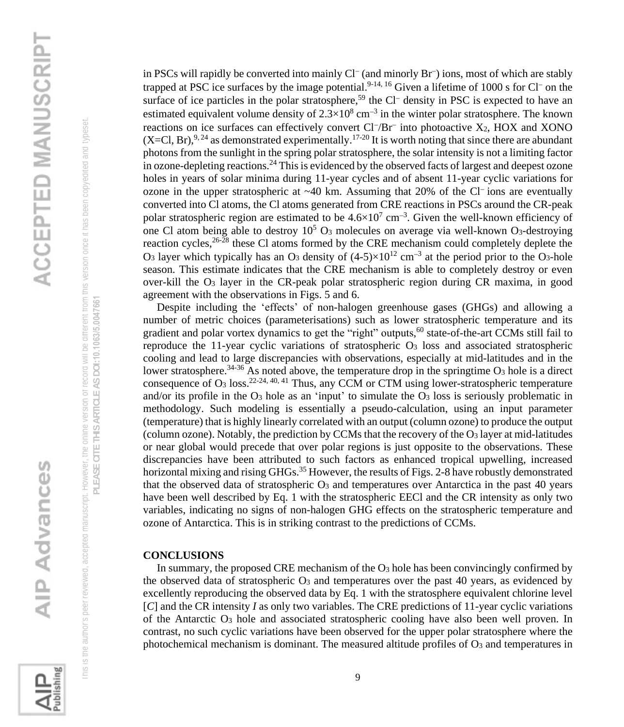**Publishing** 

 This is the author's peer reviewed, accepted manuscript. However, the online version of record will be different from this version once it has been copyedited and typeset. **PLEASE CITE THIS ARTICLE AS DOI:**10.1063/5.0047661

his is the author's peer reviewed, accepted manuscript. However, the online version or record will be different from this version once it has been copyedited and typeset. PLEASE CITE THIS ARTICLE AS DOI:10.1063/5.0047661

in PSCs will rapidly be converted into mainly Cl<sup>−</sup> (and minorly Br<sup>−</sup> ) ions, most of which are stably trapped at PSC ice surfaces by the image potential.<sup>9-14, 16</sup> Given a lifetime of 1000 s for Cl<sup>−</sup> on the surface of ice particles in the polar stratosphere,<sup>59</sup> the Cl<sup>−</sup> density in PSC is expected to have an estimated equivalent volume density of  $2.3 \times 10^8$  cm<sup>-3</sup> in the winter polar stratosphere. The known reactions on ice surfaces can effectively convert Cl<sup>-</sup>/Br<sup>−</sup> into photoactive X<sub>2</sub>, HOX and XONO  $(X=Cl, Br)$ , <sup>9, 24</sup> as demonstrated experimentally.<sup>17-20</sup> It is worth noting that since there are abundant photons from the sunlight in the spring polar stratosphere, the solar intensity is not a limiting factor in ozone-depleting reactions.<sup>24</sup> This is evidenced by the observed facts of largest and deepest ozone holes in years of solar minima during 11-year cycles and of absent 11-year cyclic variations for ozone in the upper stratospheric at ~40 km. Assuming that 20% of the Cl<sup>−</sup> ions are eventually converted into Cl atoms, the Cl atoms generated from CRE reactions in PSCs around the CR-peak polar stratospheric region are estimated to be  $4.6 \times 10^7$  cm<sup>-3</sup>. Given the well-known efficiency of one Cl atom being able to destroy  $10^5$  O<sub>3</sub> molecules on average via well-known O<sub>3</sub>-destroying reaction cycles,  $26-28$  these Cl atoms formed by the CRE mechanism could completely deplete the O<sub>3</sub> layer which typically has an O<sub>3</sub> density of  $(4-5)\times10^{12}$  cm<sup>-3</sup> at the period prior to the O<sub>3</sub>-hole season. This estimate indicates that the CRE mechanism is able to completely destroy or even over-kill the O<sup>3</sup> layer in the CR-peak polar stratospheric region during CR maxima, in good agreement with the observations in Figs. 5 and 6.

 Despite including the 'effects' of non-halogen greenhouse gases (GHGs) and allowing a number of metric choices (parameterisations) such as lower stratospheric temperature and its gradient and polar vortex dynamics to get the "right" outputs,<sup>60</sup> state-of-the-art CCMs still fail to reproduce the 11-year cyclic variations of stratospheric O<sup>3</sup> loss and associated stratospheric cooling and lead to large discrepancies with observations, especially at mid-latitudes and in the lower stratosphere.<sup>34-36</sup> As noted above, the temperature drop in the springtime  $O_3$  hole is a direct consequence of  $O_3$  loss.<sup>22-24, 40, 41</sup> Thus, any CCM or CTM using lower-stratospheric temperature and/or its profile in the  $O_3$  hole as an 'input' to simulate the  $O_3$  loss is seriously problematic in methodology. Such modeling is essentially a pseudo-calculation, using an input parameter (temperature) that is highly linearly correlated with an output (column ozone) to produce the output (column ozone). Notably, the prediction by CCMs that the recovery of the O<sup>3</sup> layer at mid-latitudes or near global would precede that over polar regions is just opposite to the observations. These discrepancies have been attributed to such factors as enhanced tropical upwelling, increased horizontal mixing and rising GHGs.<sup>35</sup> However, the results of Figs. 2-8 have robustly demonstrated that the observed data of stratospheric  $O_3$  and temperatures over Antarctica in the past 40 years have been well described by Eq. 1 with the stratospheric EECl and the CR intensity as only two variables, indicating no signs of non-halogen GHG effects on the stratospheric temperature and ozone of Antarctica. This is in striking contrast to the predictions of CCMs.

### **CONCLUSIONS**

 In summary, the proposed CRE mechanism of the O<sup>3</sup> hole has been convincingly confirmed by the observed data of stratospheric  $O_3$  and temperatures over the past 40 years, as evidenced by excellently reproducing the observed data by Eq. 1 with the stratosphere equivalent chlorine level [*C*] and the CR intensity *I* as only two variables. The CRE predictions of 11-year cyclic variations of the Antarctic O<sup>3</sup> hole and associated stratospheric cooling have also been well proven. In contrast, no such cyclic variations have been observed for the upper polar stratosphere where the photochemical mechanism is dominant. The measured altitude profiles of  $O_3$  and temperatures in

9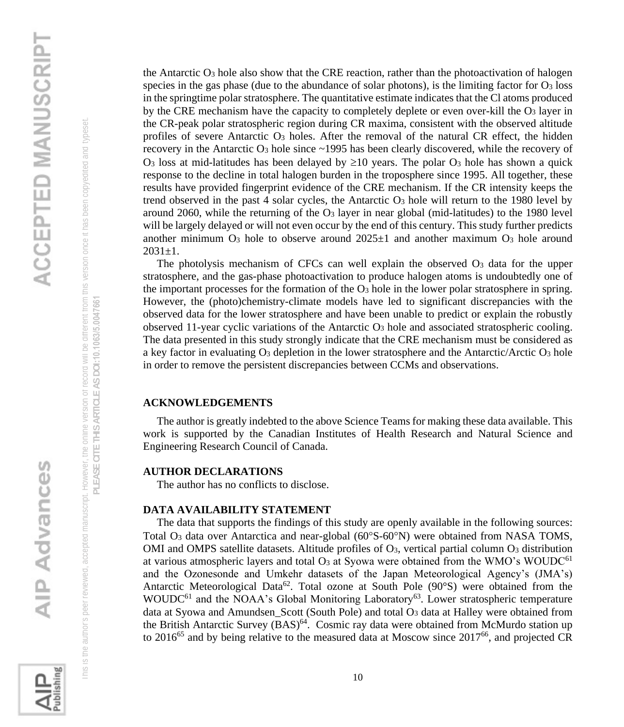the Antarctic  $O_3$  hole also show that the CRE reaction, rather than the photoactivation of halogen species in the gas phase (due to the abundance of solar photons), is the limiting factor for  $O_3$  loss in the springtime polar stratosphere. The quantitative estimate indicates that the Cl atoms produced by the CRE mechanism have the capacity to completely deplete or even over-kill the  $O_3$  layer in the CR-peak polar stratospheric region during CR maxima, consistent with the observed altitude profiles of severe Antarctic O<sup>3</sup> holes. After the removal of the natural CR effect, the hidden recovery in the Antarctic O<sup>3</sup> hole since ~1995 has been clearly discovered, while the recovery of O<sub>3</sub> loss at mid-latitudes has been delayed by  $\geq 10$  years. The polar O<sub>3</sub> hole has shown a quick response to the decline in total halogen burden in the troposphere since 1995. All together, these results have provided fingerprint evidence of the CRE mechanism. If the CR intensity keeps the trend observed in the past 4 solar cycles, the Antarctic  $O_3$  hole will return to the 1980 level by around 2060, while the returning of the  $O_3$  layer in near global (mid-latitudes) to the 1980 level will be largely delayed or will not even occur by the end of this century. This study further predicts another minimum  $O_3$  hole to observe around  $2025\pm1$  and another maximum  $O_3$  hole around  $2031 \pm 1$ .

The photolysis mechanism of CFCs can well explain the observed  $O<sub>3</sub>$  data for the upper stratosphere, and the gas-phase photoactivation to produce halogen atoms is undoubtedly one of the important processes for the formation of the  $\overline{O_3}$  hole in the lower polar stratosphere in spring. However, the (photo)chemistry-climate models have led to significant discrepancies with the observed data for the lower stratosphere and have been unable to predict or explain the robustly observed 11-year cyclic variations of the Antarctic  $O_3$  hole and associated stratospheric cooling. The data presented in this study strongly indicate that the CRE mechanism must be considered as a key factor in evaluating O<sub>3</sub> depletion in the lower stratosphere and the Antarctic/Arctic O<sub>3</sub> hole in order to remove the persistent discrepancies between CCMs and observations.

### **ACKNOWLEDGEMENTS**

 The author is greatly indebted to the above Science Teams for making these data available. This work is supported by the Canadian Institutes of Health Research and Natural Science and Engineering Research Council of Canada.

### **AUTHOR DECLARATIONS**

The author has no conflicts to disclose.

### **DATA AVAILABILITY STATEMENT**

 The data that supports the findings of this study are openly available in the following sources: Total  $O_3$  data over Antarctica and near-global (60 $\degree$ S-60 $\degree$ N) were obtained from NASA TOMS, OMI and OMPS satellite datasets. Altitude profiles of  $O_3$ , vertical partial column  $O_3$  distribution at various atmospheric layers and total  $O_3$  at Syowa were obtained from the WMO's WOUDC<sup>61</sup> and the Ozonesonde and Umkehr datasets of the Japan Meteorological Agency's (JMA's) Antarctic Meteorological Data<sup>62</sup>. Total ozone at South Pole (90 $\degree$ S) were obtained from the WOUDC<sup>61</sup> and the NOAA's Global Monitoring Laboratory<sup>63</sup>. Lower stratospheric temperature data at Syowa and Amundsen Scott (South Pole) and total O<sub>3</sub> data at Halley were obtained from the British Antarctic Survey (BAS)<sup>64</sup>. Cosmic ray data were obtained from McMurdo station up to 2016<sup>65</sup> and by being relative to the measured data at Moscow since  $2017^{66}$ , and projected CR

 This is the author's peer reviewed, accepted manuscript. However, the online version of record will be different from this version once it has been copyedited and typeset. **PLEASE CITE THIS ARTICLE AS DOI:**10.1063/5.0047661

his is the author's peer reviewed, accepted manuscript. However, the online version or record will be different from this version once it has been copyedited and typeset PLEASE CITE THIS ARTICLE AS DOI:10.1063/5.0047661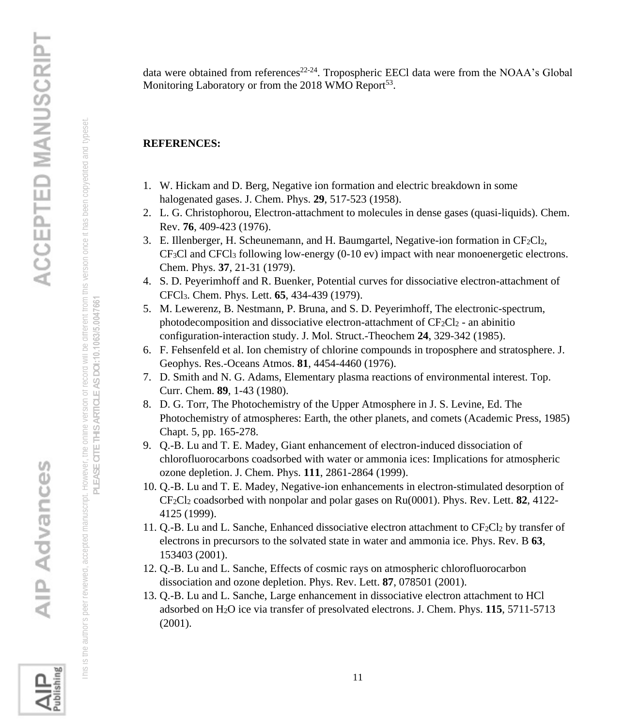data were obtained from references<sup>22-24</sup>. Tropospheric EECl data were from the NOAA's Global Monitoring Laboratory or from the 2018 WMO Report<sup>53</sup>.

### **REFERENCES:**

- 1. W. Hickam and D. Berg, Negative ion formation and electric breakdown in some halogenated gases. J. Chem. Phys. **29**, 517-523 (1958).
- 2. L. G. Christophorou, Electron-attachment to molecules in dense gases (quasi-liquids). Chem. Rev. **76**, 409-423 (1976).
- 3. E. Illenberger, H. Scheunemann, and H. Baumgartel, Negative-ion formation in  $CF_2Cl_2$ , CF3Cl and CFCl<sup>3</sup> following low-energy (0-10 ev) impact with near monoenergetic electrons. Chem. Phys. **37**, 21-31 (1979).
- 4. S. D. Peyerimhoff and R. Buenker, Potential curves for dissociative electron-attachment of CFCl3. Chem. Phys. Lett. **65**, 434-439 (1979).
- 5. M. Lewerenz, B. Nestmann, P. Bruna, and S. D. Peyerimhoff, The electronic-spectrum, photodecomposition and dissociative electron-attachment of  $CF_2Cl_2$  - an abinitio configuration-interaction study. J. Mol. Struct.-Theochem **24**, 329-342 (1985).
- 6. F. Fehsenfeld et al. Ion chemistry of chlorine compounds in troposphere and stratosphere. J. Geophys. Res.-Oceans Atmos. **81**, 4454-4460 (1976).
- 7. D. Smith and N. G. Adams, Elementary plasma reactions of environmental interest. Top. Curr. Chem. **89**, 1-43 (1980).
- 8. D. G. Torr, The Photochemistry of the Upper Atmosphere in J. S. Levine, Ed. The Photochemistry of atmospheres: Earth, the other planets, and comets (Academic Press, 1985) Chapt. 5, pp. 165-278.
- 9. Q.-B. Lu and T. E. Madey, Giant enhancement of electron-induced dissociation of chlorofluorocarbons coadsorbed with water or ammonia ices: Implications for atmospheric ozone depletion. J. Chem. Phys. **111**, 2861-2864 (1999).
- 10. Q.-B. Lu and T. E. Madey, Negative-ion enhancements in electron-stimulated desorption of CF2Cl<sup>2</sup> coadsorbed with nonpolar and polar gases on Ru(0001). Phys. Rev. Lett. **82**, 4122- 4125 (1999).
- 11.  $O.-B$ . Lu and L. Sanche, Enhanced dissociative electron attachment to  $CF_2Cl_2$  by transfer of electrons in precursors to the solvated state in water and ammonia ice. Phys. Rev. B **63**, 153403 (2001).
- 12. Q.-B. Lu and L. Sanche, Effects of cosmic rays on atmospheric chlorofluorocarbon dissociation and ozone depletion. Phys. Rev. Lett. **87**, 078501 (2001).
- 13. Q.-B. Lu and L. Sanche, Large enhancement in dissociative electron attachment to HCl adsorbed on H2O ice via transfer of presolvated electrons. J. Chem. Phys. **115**, 5711-5713 (2001).

**AIP Advances** 

 This is the author's peer reviewed, accepted manuscript. However, the online version of record will be different from this version once it has been copyedited and typeset. **PLEASE CITE THIS ARTICLE AS DOI:**10.1063/5.0047661

his is the author's peer reviewed, accepted manuscript. However, the online version of record will be different from this version once it has been copyedited and typeset PLEASE CITE THIS ARTICLE AS DOI:10.1063/5.0047661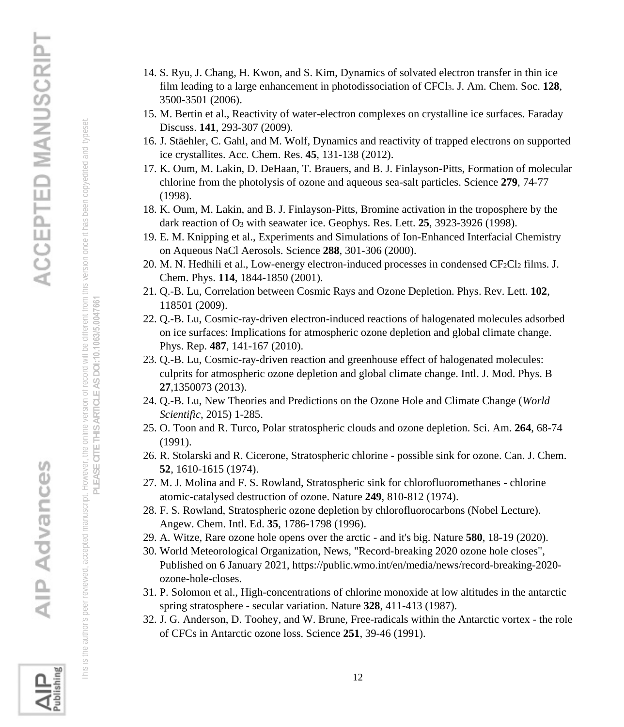- This is the author's peer reviewed, accepted manuscript. However, the online version of record will be different from this version once it has been copyedited and typeset. his is the author's peer reviewed, accepted manuscript. However, the online version or record will be different from this version once it has been copyedited and typeset.
	- **PLEASE CITE THIS ARTICLE AS DOI:**10.1063/5.0047661
	- PLEASE CITE THIS ARTICLE AS DOI:10.1063/5.0047661
	-
	-
	-
	-
	-

- 14. S. Ryu, J. Chang, H. Kwon, and S. Kim, Dynamics of solvated electron transfer in thin ice film leading to a large enhancement in photodissociation of CFCl3. J. Am. Chem. Soc. **128**, 3500-3501 (2006).
- 15. M. Bertin et al., Reactivity of water-electron complexes on crystalline ice surfaces. Faraday Discuss. **141**, 293-307 (2009).
- 16. J. Stäehler, C. Gahl, and M. Wolf, Dynamics and reactivity of trapped electrons on supported ice crystallites. Acc. Chem. Res. **45**, 131-138 (2012).
- 17. K. Oum, M. Lakin, D. DeHaan, T. Brauers, and B. J. Finlayson-Pitts, Formation of molecular chlorine from the photolysis of ozone and aqueous sea-salt particles. Science **279**, 74-77 (1998).
- 18. K. Oum, M. Lakin, and B. J. Finlayson-Pitts, Bromine activation in the troposphere by the dark reaction of O<sup>3</sup> with seawater ice. Geophys. Res. Lett. **25**, 3923-3926 (1998).
- 19. E. M. Knipping et al., Experiments and Simulations of Ion-Enhanced Interfacial Chemistry on Aqueous NaCl Aerosols. Science **288**, 301-306 (2000).
- 20. M. N. Hedhili et al., Low-energy electron-induced processes in condensed CF2Cl2 films. J. Chem. Phys. **114**, 1844-1850 (2001).
- 21. Q.-B. Lu, Correlation between Cosmic Rays and Ozone Depletion. Phys. Rev. Lett. **102**, 118501 (2009).
- 22. Q.-B. Lu, Cosmic-ray-driven electron-induced reactions of halogenated molecules adsorbed on ice surfaces: Implications for atmospheric ozone depletion and global climate change. Phys. Rep. **487**, 141-167 (2010).
- 23. Q.-B. Lu, Cosmic-ray-driven reaction and greenhouse effect of halogenated molecules: culprits for atmospheric ozone depletion and global climate change. Intl. J. Mod. Phys. B **27**,1350073 (2013).
- 24. Q.-B. Lu, New Theories and Predictions on the Ozone Hole and Climate Change (*World Scientific*, 2015) 1-285.
- 25. O. Toon and R. Turco, Polar stratospheric clouds and ozone depletion. Sci. Am. **264**, 68-74 (1991).
- 26. R. Stolarski and R. Cicerone, Stratospheric chlorine possible sink for ozone. Can. J. Chem. **52**, 1610-1615 (1974).
- 27. M. J. Molina and F. S. Rowland, Stratospheric sink for chlorofluoromethanes chlorine atomic-catalysed destruction of ozone. Nature **249**, 810-812 (1974).
- 28. F. S. Rowland, Stratospheric ozone depletion by chlorofluorocarbons (Nobel Lecture). Angew. Chem. Intl. Ed. **35**, 1786-1798 (1996).
- 29. A. Witze, Rare ozone hole opens over the arctic and it's big. Nature **580**, 18-19 (2020).
- 30. World Meteorological Organization, News, "Record-breaking 2020 ozone hole closes", Published on 6 January 2021, https://public.wmo.int/en/media/news/record-breaking-2020 ozone-hole-closes.
- 31. P. Solomon et al., High-concentrations of chlorine monoxide at low altitudes in the antarctic spring stratosphere - secular variation. Nature **328**, 411-413 (1987).
- 32. J. G. Anderson, D. Toohey, and W. Brune, Free-radicals within the Antarctic vortex the role of CFCs in Antarctic ozone loss. Science **251**, 39-46 (1991).

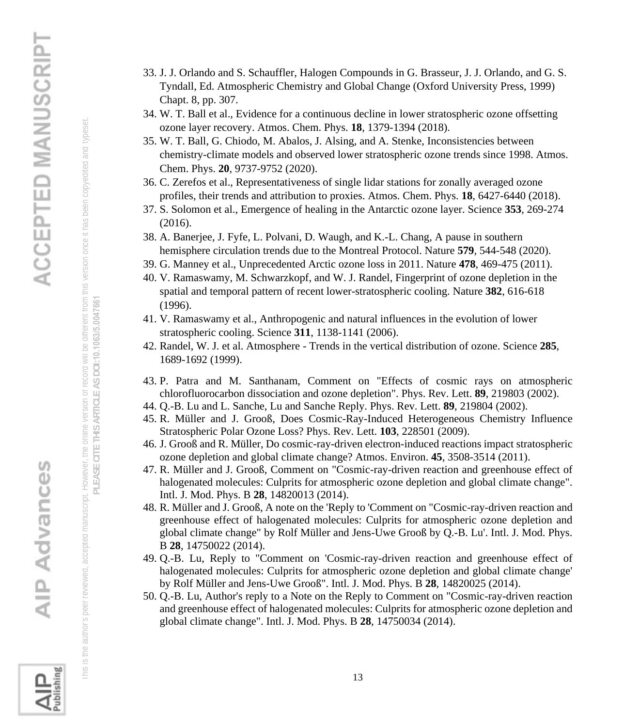- This is the author's peer reviewed, accepted manuscript. However, the online version of record will be different from this version once it has been copyedited and typeset. his is the author's peer reviewed, accepted manuscript. However, the online version or record will be different from this version once it has been copyedited and typeset
	- **PLEASE CITE THIS ARTICLE AS DOI:**10.1063/5.0047661
	- PLEASE CITE THIS ARTICLE AS DOI:10.1063/5.0047661
	-
	-
	-
	-
	-
	-
- 33. J. J. Orlando and S. Schauffler, Halogen Compounds in G. Brasseur, J. J. Orlando, and G. S. Tyndall, Ed. Atmospheric Chemistry and Global Change (Oxford University Press, 1999) Chapt. 8, pp. 307.
	- 34. W. T. Ball et al., Evidence for a continuous decline in lower stratospheric ozone offsetting ozone layer recovery. Atmos. Chem. Phys. **18**, 1379-1394 (2018).
	- 35. W. T. Ball, G. Chiodo, M. Abalos, J. Alsing, and A. Stenke, Inconsistencies between chemistry-climate models and observed lower stratospheric ozone trends since 1998. Atmos. Chem. Phys. **20**, 9737-9752 (2020).
	- 36. C. Zerefos et al., Representativeness of single lidar stations for zonally averaged ozone profiles, their trends and attribution to proxies. Atmos. Chem. Phys. **18**, 6427-6440 (2018).
	- 37. S. Solomon et al., Emergence of healing in the Antarctic ozone layer. Science **353**, 269-274 (2016).
	- 38. A. Banerjee, J. Fyfe, L. Polvani, D. Waugh, and K.-L. Chang, A pause in southern hemisphere circulation trends due to the Montreal Protocol. Nature **579**, 544-548 (2020).
	- 39. G. Manney et al., Unprecedented Arctic ozone loss in 2011. Nature **478**, 469-475 (2011).
	- 40. V. Ramaswamy, M. Schwarzkopf, and W. J. Randel, Fingerprint of ozone depletion in the spatial and temporal pattern of recent lower-stratospheric cooling. Nature **382**, 616-618 (1996).
	- 41. V. Ramaswamy et al., Anthropogenic and natural influences in the evolution of lower stratospheric cooling. Science **311**, 1138-1141 (2006).
	- 42. Randel, W. J. et al. Atmosphere Trends in the vertical distribution of ozone. Science **285**, 1689-1692 (1999).
	- 43. P. Patra and M. Santhanam, Comment on "Effects of cosmic rays on atmospheric chlorofluorocarbon dissociation and ozone depletion". Phys. Rev. Lett. **89**, 219803 (2002).
	- 44. Q.-B. Lu and L. Sanche, Lu and Sanche Reply. Phys. Rev. Lett. **89**, 219804 (2002).
	- 45. R. Müller and J. Grooß, Does Cosmic-Ray-Induced Heterogeneous Chemistry Influence Stratospheric Polar Ozone Loss? Phys. Rev. Lett. **103**, 228501 (2009).
	- 46. J. Grooß and R. Müller, Do cosmic-ray-driven electron-induced reactions impact stratospheric ozone depletion and global climate change? Atmos. Environ. **45**, 3508-3514 (2011).
	- 47. R. Müller and J. Grooß, Comment on "Cosmic-ray-driven reaction and greenhouse effect of halogenated molecules: Culprits for atmospheric ozone depletion and global climate change". Intl. J. Mod. Phys. B **28**, 14820013 (2014).
	- 48. R. Müller and J. Grooß, A note on the 'Reply to 'Comment on "Cosmic-ray-driven reaction and greenhouse effect of halogenated molecules: Culprits for atmospheric ozone depletion and global climate change" by Rolf Müller and Jens-Uwe Grooß by Q.-B. Lu'. Intl. J. Mod. Phys. B **28**, 14750022 (2014).
	- 49. Q.-B. Lu, Reply to "Comment on 'Cosmic-ray-driven reaction and greenhouse effect of halogenated molecules: Culprits for atmospheric ozone depletion and global climate change' by Rolf Müller and Jens-Uwe Grooß". Intl. J. Mod. Phys. B **28**, 14820025 (2014).
	- 50. Q.-B. Lu, Author's reply to a Note on the Reply to Comment on "Cosmic-ray-driven reaction and greenhouse effect of halogenated molecules: Culprits for atmospheric ozone depletion and global climate change". Intl. J. Mod. Phys. B **28**, 14750034 (2014).

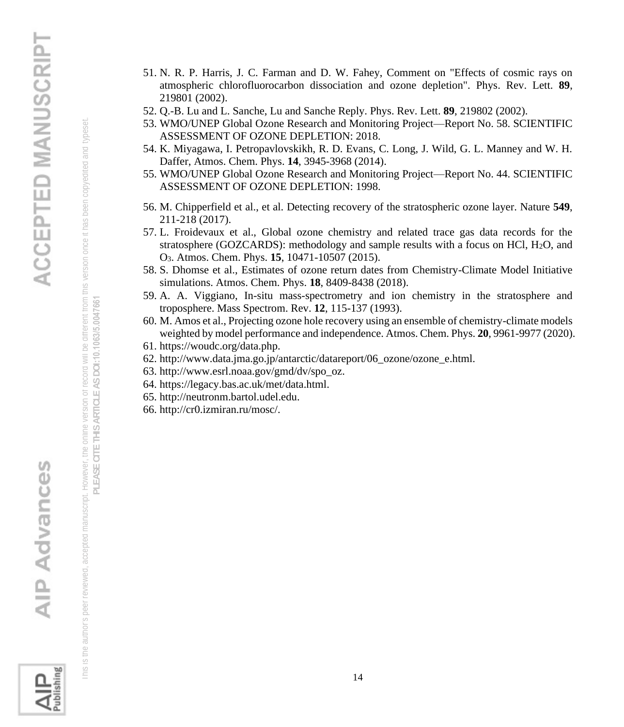

 This is the author's peer reviewed, accepted manuscript. However, the online version of record will be different from this version once it has been copyedited and typeset. **PLEASE CITE THIS ARTICLE AS DOI:**10.1063/5.0047661

his is the author's peer reviewed, accepted manuscript. However, the online version or record will be different from this version once it has been copyedited and typeset PLEASE CITE THIS ARTICLE AS DOI:10.1063/5.0047661

- 51. N. R. P. Harris, J. C. Farman and D. W. Fahey, Comment on "Effects of cosmic rays on atmospheric chlorofluorocarbon dissociation and ozone depletion". Phys. Rev. Lett. **89**, 219801 (2002).
	- 52. Q.-B. Lu and L. Sanche, Lu and Sanche Reply. Phys. Rev. Lett. **89**, 219802 (2002).
	- 53. WMO/UNEP Global Ozone Research and Monitoring Project—Report No. 58. SCIENTIFIC ASSESSMENT OF OZONE DEPLETION: 2018.
- 54. K. Miyagawa, I. Petropavlovskikh, R. D. Evans, C. Long, J. Wild, G. L. Manney and W. H. Daffer, Atmos. Chem. Phys. **14**, 3945-3968 (2014).
- 55. WMO/UNEP Global Ozone Research and Monitoring Project—Report No. 44. SCIENTIFIC ASSESSMENT OF OZONE DEPLETION: 1998.
- 56. M. Chipperfield et al., et al. Detecting recovery of the stratospheric ozone layer. Nature **549**, 211-218 (2017).
- 57. L. Froidevaux et al., Global ozone chemistry and related trace gas data records for the stratosphere (GOZCARDS): methodology and sample results with a focus on HCl, H2O, and O3. Atmos. Chem. Phys. **15**, 10471-10507 (2015).
- 58. S. Dhomse et al., Estimates of ozone return dates from Chemistry-Climate Model Initiative simulations. Atmos. Chem. Phys. **18**, 8409-8438 (2018).
- 59. A. A. Viggiano, In-situ mass-spectrometry and ion chemistry in the stratosphere and troposphere. Mass Spectrom. Rev. **12**, 115-137 (1993).
- 60. M. Amos et al., Projecting ozone hole recovery using an ensemble of chemistry-climate models weighted by model performance and independence. Atmos. Chem. Phys. **20**, 9961-9977 (2020).
- 61. https://woudc.org/data.php.
- 62. http://www.data.jma.go.jp/antarctic/datareport/06\_ozone/ozone\_e.html.
- 63. http://www.esrl.noaa.gov/gmd/dv/spo\_oz.
- 64. https://legacy.bas.ac.uk/met/data.html.
- 65. http://neutronm.bartol.udel.edu.
- 66. http://cr0.izmiran.ru/mosc/.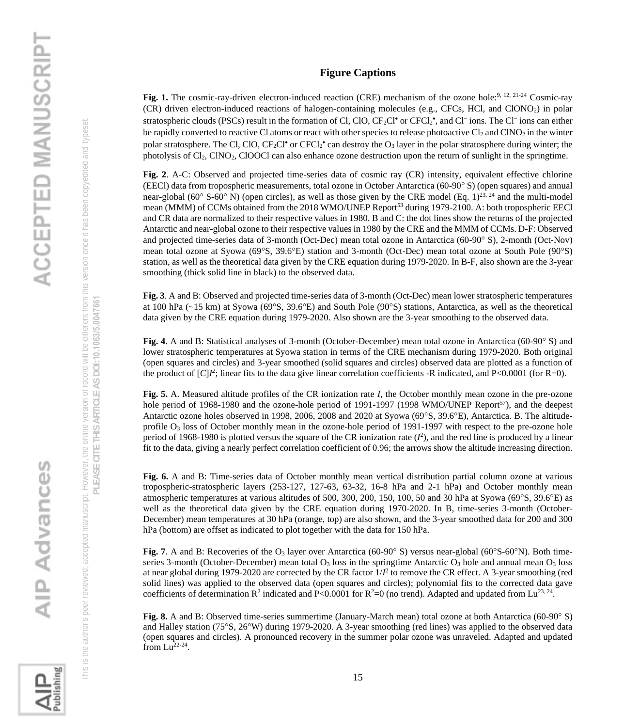### **Figure Captions**

Fig. 1. The cosmic-ray-driven electron-induced reaction (CRE) mechanism of the ozone hole:<sup>9, 12, 21-24</sup> Cosmic-ray (CR) driven electron-induced reactions of halogen-containing molecules (e.g., CFCs, HCl, and ClONO2) in polar stratospheric clouds (PSCs) result in the formation of Cl, ClO, CF2Cl<sup>•</sup> or CFCl2<sup>•</sup>, and Cl<sup>−</sup> ions. The Cl<sup>−</sup> ions can either be rapidly converted to reactive Cl atoms or react with other species to release photoactive  $Cl_2$  and  $ClNO_2$  in the winter polar stratosphere. The Cl, ClO,  $CF_2Cl^{\bullet}$  or  $CFCl_2^{\bullet}$  can destroy the  $O_3$  layer in the polar stratosphere during winter; the photolysis of Cl<sub>2</sub>, ClNO<sub>2</sub>, ClOOCl can also enhance ozone destruction upon the return of sunlight in the springtime.

**Fig. 2**. A-C: Observed and projected time-series data of cosmic ray (CR) intensity, equivalent effective chlorine (EECl) data from tropospheric measurements, total ozone in October Antarctica (60-90 S) (open squares) and annual near-global (60 $\degree$  S-60 $\degree$  N) (open circles), as well as those given by the CRE model (Eq. 1)<sup>23, 24</sup> and the multi-model mean (MMM) of CCMs obtained from the 2018 WMO/UNEP Report<sup>53</sup> during 1979-2100. A: both tropospheric EECl and CR data are normalized to their respective values in 1980. B and C: the dot lines show the returns of the projected Antarctic and near-global ozone to their respective values in 1980 by the CRE and the MMM of CCMs. D-F: Observed and projected time-series data of 3-month (Oct-Dec) mean total ozone in Antarctica (60-90° S), 2-month (Oct-Nov) mean total ozone at Syowa (69°S, 39.6°E) station and 3-month (Oct-Dec) mean total ozone at South Pole (90°S) station, as well as the theoretical data given by the CRE equation during 1979-2020. In B-F, also shown are the 3-year smoothing (thick solid line in black) to the observed data.

**Fig. 3**. A and B: Observed and projected time-series data of 3-month (Oct-Dec) mean lower stratospheric temperatures at 100 hPa  $(\sim 15 \text{ km})$  at Syowa (69°S, 39.6°E) and South Pole (90°S) stations, Antarctica, as well as the theoretical data given by the CRE equation during 1979-2020. Also shown are the 3-year smoothing to the observed data.

**Fig.** 4. A and B: Statistical analyses of 3-month (October-December) mean total ozone in Antarctica (60-90° S) and lower stratospheric temperatures at Syowa station in terms of the CRE mechanism during 1979-2020. Both original (open squares and circles) and 3-year smoothed (solid squares and circles) observed data are plotted as a function of the product of  $[C]I^2$ ; linear fits to the data give linear correlation coefficients -R indicated, and  $P<0.0001$  (for R=0).

**Fig. 5.** A. Measured altitude profiles of the CR ionization rate *I*, the October monthly mean ozone in the pre-ozone hole period of 1968-1980 and the ozone-hole period of 1991-1997 (1998 WMO/UNEP Report<sup>57</sup>), and the deepest Antarctic ozone holes observed in 1998, 2006, 2008 and 2020 at Syowa (69°S, 39.6°E), Antarctica. B. The altitudeprofile O<sub>3</sub> loss of October monthly mean in the ozone-hole period of 1991-1997 with respect to the pre-ozone hole period of 1968-1980 is plotted versus the square of the CR ionization rate  $(I^2)$ , and the red line is produced by a linear fit to the data, giving a nearly perfect correlation coefficient of 0.96; the arrows show the altitude increasing direction.

**Fig. 6.** A and B: Time-series data of October monthly mean vertical distribution partial column ozone at various tropospheric-stratospheric layers (253-127, 127-63, 63-32, 16-8 hPa and 2-1 hPa) and October monthly mean atmospheric temperatures at various altitudes of 500, 300, 200, 150, 100, 50 and 30 hPa at Syowa (69 $\textdegree$ S, 39.6 $\textdegree$ E) as well as the theoretical data given by the CRE equation during 1970-2020. In B, time-series 3-month (October-December) mean temperatures at 30 hPa (orange, top) are also shown, and the 3-year smoothed data for 200 and 300 hPa (bottom) are offset as indicated to plot together with the data for 150 hPa.

**Fig.** 7. A and B: Recoveries of the  $O_3$  layer over Antarctica (60-90 $^{\circ}$  S) versus near-global (60 $^{\circ}$ S-60 $^{\circ}$ N). Both timeseries 3-month (October-December) mean total  $O_3$  loss in the springtime Antarctic  $O_3$  hole and annual mean  $O_3$  loss at near global during 1979-2020 are corrected by the CR factor  $1/I^2$  to remove the CR effect. A 3-year smoothing (red solid lines) was applied to the observed data (open squares and circles); polynomial fits to the corrected data gave coefficients of determination  $\mathbb{R}^2$  indicated and P<0.0001 for  $\mathbb{R}^2=0$  (no trend). Adapted and updated from Lu<sup>23, 24</sup>.

**Fig. 8.** A and B: Observed time-series summertime (January-March mean) total ozone at both Antarctica (60-90 $^{\circ}$  S) and Halley station (75S, 26W) during 1979-2020. A 3-year smoothing (red lines) was applied to the observed data (open squares and circles). A pronounced recovery in the summer polar ozone was unraveled. Adapted and updated from  $Lu^{22-24}$ .

 This is the author's peer reviewed, accepted manuscript. However, the online version of record will be different from this version once it has been copyedited and typeset. **PLEASE CITE THIS ARTICLE AS DOI:**10.1063/5.0047661

his is the author's peer reviewed, accepted manuscript. However, the online version or record will be different from this version once it has been copyedited and typeset PLEASE CITE THIS ARTICLE AS DOI:10.1063/5.0047661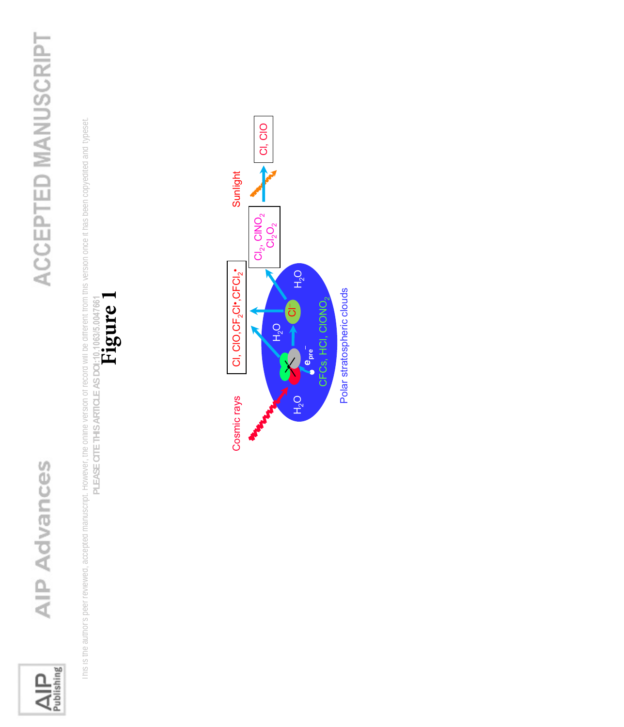

## ACCEPTED MANUSCRIPT

 This is the author's peer reviewed, accepted manuscript. However, the online version of record will be different from this version once it has been copyedited and typeset. Inis is the author's peer reviewed, accepted manuscript. However, the online version or record will be different from this version once it has been copyedited and typeset. PLEASE CITE THIS ARTICLE AS DOI:10,1063/5.0047661<br>Figure **PLEASE CITE THIS ARTICLE AS DOI:**10.1063/5.0047661



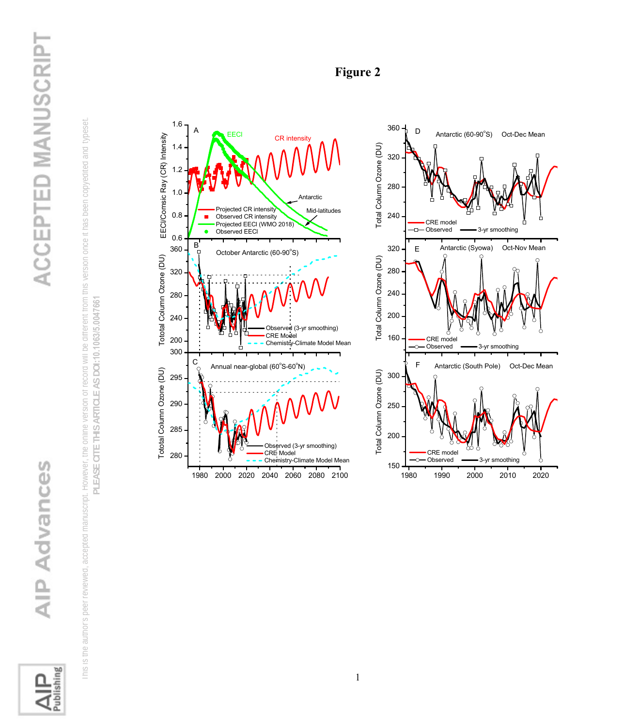

## ACCEPTED MANUSCRIPT

 This is the author's peer reviewed, accepted manuscript. However, the online version of record will be different from this version once it has been copyedited and typeset. In is is the author's peer reviewed, accepted manuscript. However, the online version of record will be different from this version once it has been copyedited and typeset PLEASE CITE THIS ARTICLE AS DOI:10.1063/5.0047661 **PLEASE CITE THIS ARTICLE AS DOI:**10.1063/5.0047661





### **Figure 2**

1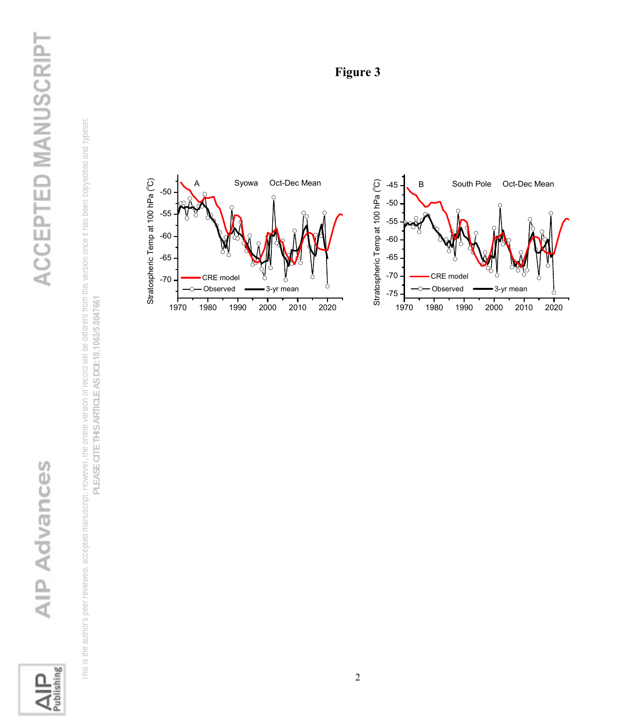

## ACCEPTED MANUSCRIPT

This is the author's peer reviewed, accepted and be online version of record will be online version on record will be different from this version on the online on the online on the composent. INS IS the author's peer reviewed, accepted manuscript. However, the online version of record will be different from this version once it has been copyedited and typeset. PLEASE CITE THIS ARTICLE AS DOI:10.1063/5.0047661 **PLEASE CITE THIS ARTICLE AS DOI:**10.1063/5.0047661



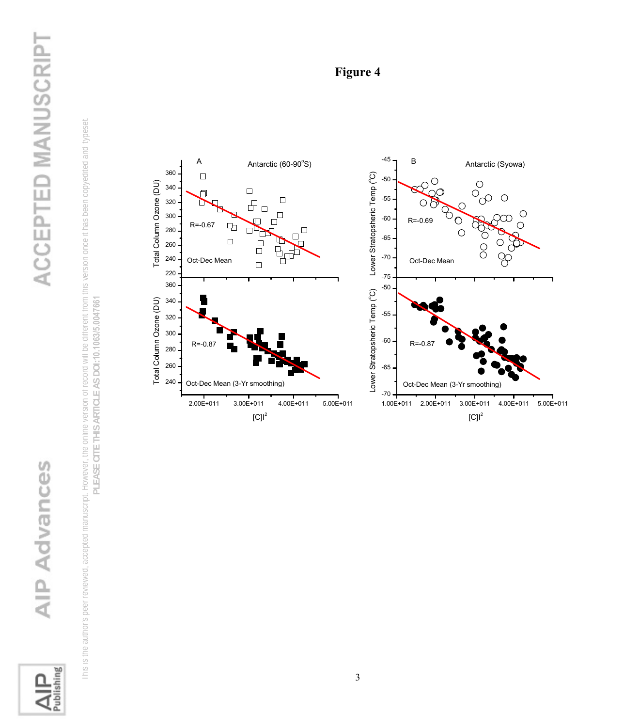

## ACCEPTED MANUSCRIPT

This is the author's peer reviewed, accepted and be online version of record will be online version on record will be different from this version on the online on the online on the composent. ITIS IS the author's peer reviewed, accepted manuscript. However, the online version or record will be different from this version once it has been copyedited and typeset. PLEASE CITE THIS ARTICLE AS DOI:10.1063/5.0047661 **PLEASE CITE THIS ARTICLE AS DOI:**10.1063/5.0047661



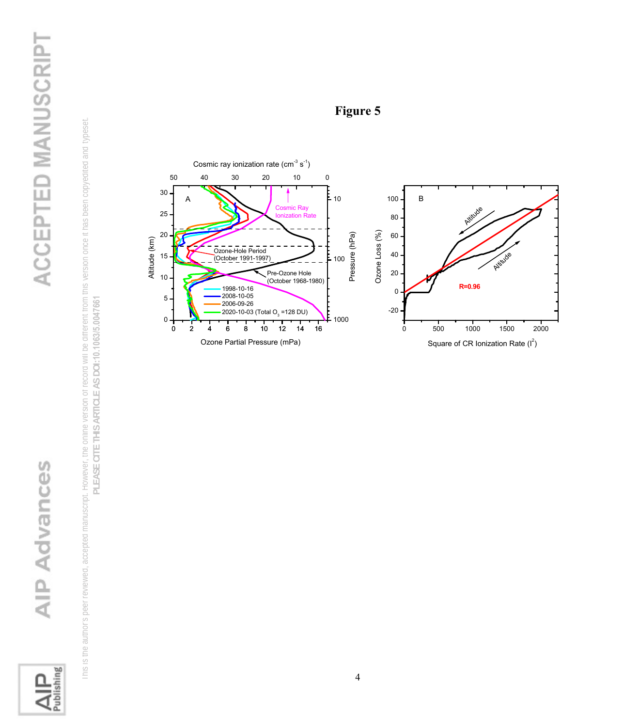

This is the author's peer reviewed, accepted and be online version of record will be online version on record will be different from this version on the online on the online on the composent. ITINS IS the author's peer reviewed, accepted manuscript. However, the online version of record will be different from this version once it has been copyedited and typeset. PLEASE CITE THIS ARTICLE AS DOI:10.1063/5.0047661 **PLEASE CITE THIS ARTICLE AS DOI:**10.1063/5.0047661



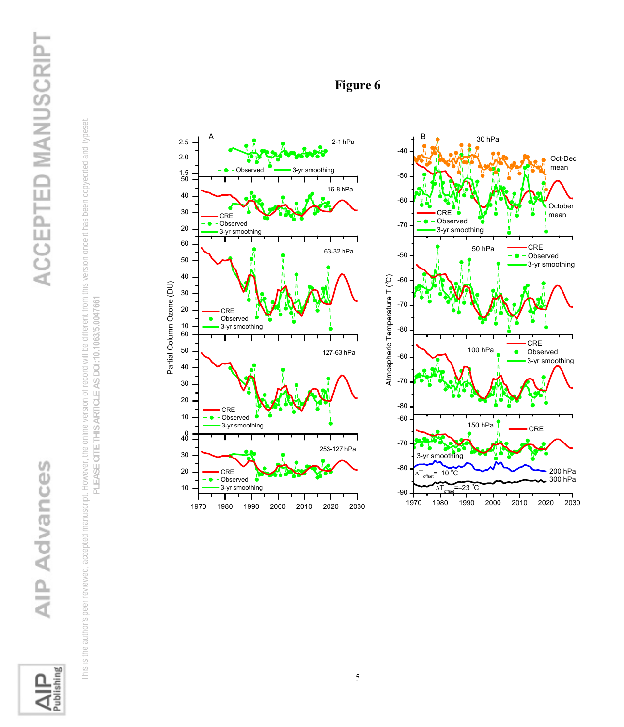

## ACCEPTED MANUSCRIPT

This is the author's peer reviewed, accepted and be online version of record will be online version on record will be different from this version on the online on the online on the composent. Ints is the author's peer reviewed, accepted manuscript. However, the online version or record will be different from this version once it has been copyedited and typeset. PLEASE CITE THIS ARTICLE AS DOI:10.1063/5.0047661 **PLEASE CITE THIS ARTICLE AS DOI:**10.1063/5.0047661



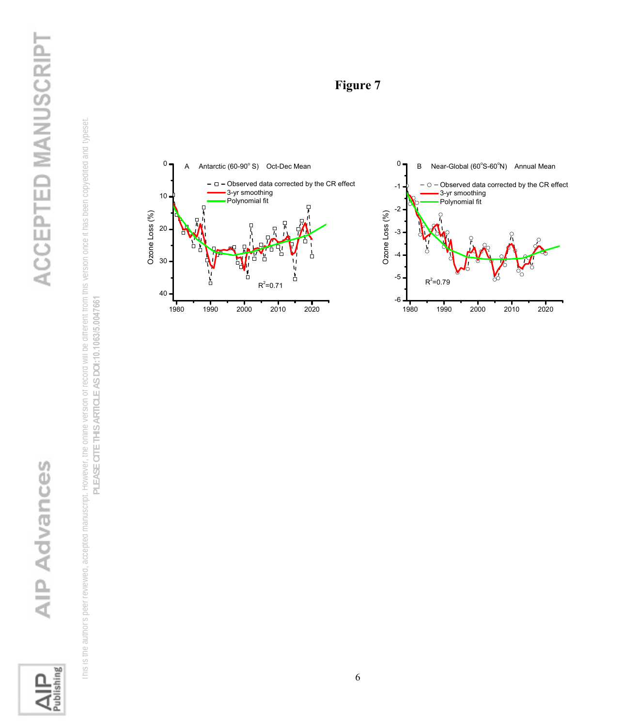

## ACCEPTED MANUSCRIPT

This is the author's peer reviewed, accepted and be online version of record will be online version on record will be different from this version on the online on the online on the composent. INS IS the author's peer reviewed, accepted manuscript. However, the online version of record will be different from this version once it has been copyedited and typeset. PLEASE CITE THIS ARTICLE AS DOI:10.1063/5.0047661 **PLEASE CITE THIS ARTICLE AS DOI:**10.1063/5.0047661

### **Figure 7**